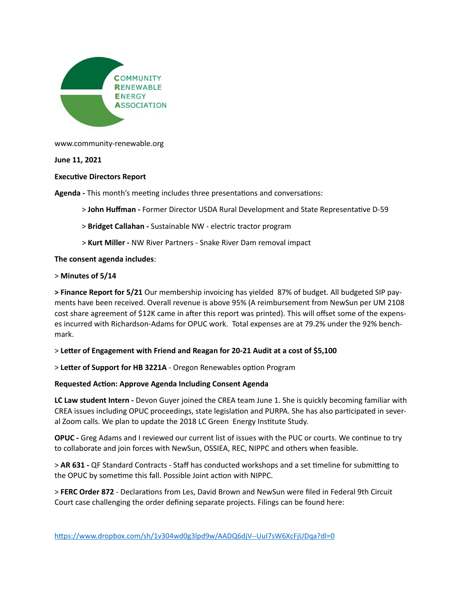

www.community-renewable.org

**June 11, 2021** 

# **Executive Directors Report**

**Agenda - This month's meeting includes three presentations and conversations:** 

> **John Huffman -** Former Director USDA Rural Development and State Representa7ve D-59

- > **Bridget Callahan** Sustainable NW electric tractor program
- > **Kurt Miller** NW River Partners Snake River Dam removal impact

**The consent agenda includes**:

### > **Minutes of 5/14**

**> Finance Report for 5/21** Our membership invoicing has yielded 87% of budget. All budgeted SIP payments have been received. Overall revenue is above 95% (A reimbursement from NewSun per UM 2108 cost share agreement of \$12K came in after this report was printed). This will offset some of the expenses incurred with Richardson-Adams for OPUC work. Total expenses are at 79.2% under the 92% benchmark.

### $>$  Letter of Engagement with Friend and Reagan for 20-21 Audit at a cost of \$5,100

> Letter of Support for HB 3221A - Oregon Renewables option Program

### **Requested Action: Approve Agenda Including Consent Agenda**

**LC Law student Intern -** Devon Guyer joined the CREA team June 1. She is quickly becoming familiar with CREA issues including OPUC proceedings, state legislation and PURPA. She has also participated in several Zoom calls. We plan to update the 2018 LC Green Energy Institute Study.

**OPUC -** Greg Adams and I reviewed our current list of issues with the PUC or courts. We continue to try to collaborate and join forces with NewSun, OSSIEA, REC, NIPPC and others when feasible.

> AR 631 - QF Standard Contracts - Staff has conducted workshops and a set timeline for submitting to the OPUC by sometime this fall. Possible Joint action with NIPPC.

> FERC Order 872 - Declarations from Les, David Brown and NewSun were filed in Federal 9th Circuit Court case challenging the order defining separate projects. Filings can be found here: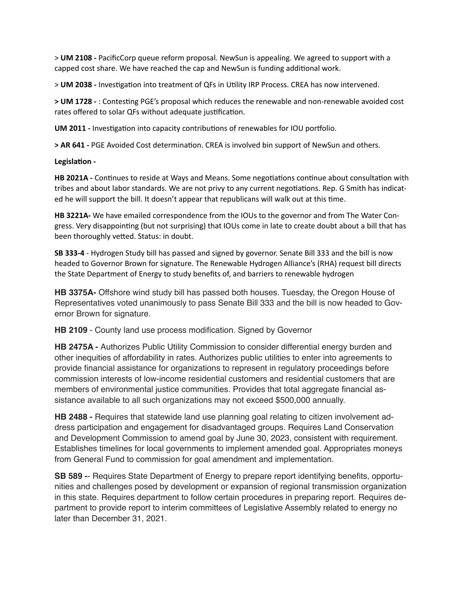> **UM 2108 -** PacificCorp queue reform proposal. NewSun is appealing. We agreed to support with a capped cost share. We have reached the cap and NewSun is funding additional work.

> **UM 2038** - Investigation into treatment of QFs in Utility IRP Process. CREA has now intervened.

> **UM 1728** - : Contesting PGE's proposal which reduces the renewable and non-renewable avoided cost rates offered to solar QFs without adequate justification.

UM 2011 - Investigation into capacity contributions of renewables for IOU portfolio.

> AR 641 - PGE Avoided Cost determination. CREA is involved bin support of NewSun and others.

#### **Legislation -**

**HB 2021A - Continues to reside at Ways and Means. Some negotiations continue about consultation with** tribes and about labor standards. We are not privy to any current negotiations. Rep. G Smith has indicated he will support the bill. It doesn't appear that republicans will walk out at this time.

**HB 3221A-** We have emailed correspondence from the IOUs to the governor and from The Water Congress. Very disappointing (but not surprising) that IOUs come in late to create doubt about a bill that has been thoroughly vetted. Status: in doubt.

**SB 333-4** - Hydrogen Study bill has passed and signed by governor. Senate Bill 333 and the bill is now headed to Governor Brown for signature. The Renewable Hydrogen Alliance's (RHA) request bill directs the State Department of Energy to study benefits of, and barriers to renewable hydrogen

**HB 3375A-** Offshore wind study bill has passed both houses. Tuesday, the Oregon House of Representatives voted unanimously to pass Senate Bill 333 and the bill is now headed to Governor Brown for signature.

**HB 2109** - County land use process modification. Signed by Governor

**HB 2475A -** Authorizes Public Utility Commission to consider differential energy burden and other inequities of affordability in rates. Authorizes public utilities to enter into agreements to provide financial assistance for organizations to represent in regulatory proceedings before commission interests of low-income residential customers and residential customers that are members of environmental justice communities. Provides that total aggregate financial assistance available to all such organizations may not exceed \$500,000 annually.

**HB 2488 -** Requires that statewide land use planning goal relating to citizen involvement address participation and engagement for disadvantaged groups. Requires Land Conservation and Development Commission to amend goal by June 30, 2023, consistent with requirement. Establishes timelines for local governments to implement amended goal. Appropriates moneys from General Fund to commission for goal amendment and implementation.

**SB 589 -**- Requires State Department of Energy to prepare report identifying benefits, opportunities and challenges posed by development or expansion of regional transmission organization in this state. Requires department to follow certain procedures in preparing report. Requires department to provide report to interim committees of Legislative Assembly related to energy no later than December 31, 2021.